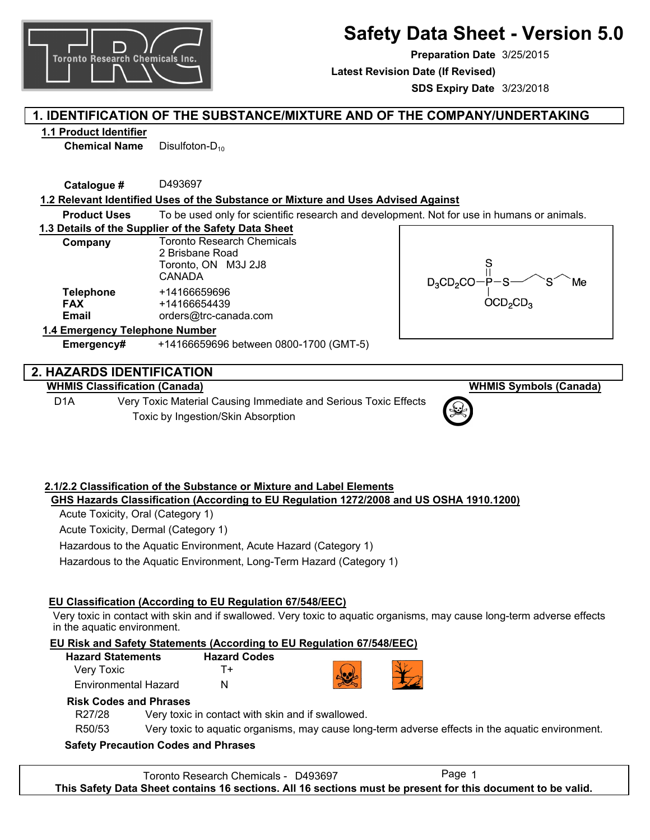

**Preparation Date** 3/25/2015

**Latest Revision Date (If Revised)**

**SDS Expiry Date** 3/23/2018

## **1. IDENTIFICATION OF THE SUBSTANCE/MIXTURE AND OF THE COMPANY/UNDERTAKING**

## **1.1 Product Identifier**

**Chemical Name** Disulfoton-D<sub>10</sub>

**Catalogue #** D493697

## **1.2 Relevant Identified Uses of the Substance or Mixture and Uses Advised Against**

**Product Uses** To be used only for scientific research and development. Not for use in humans or animals.

**1.3 Details of the Supplier of the Safety Data Sheet**

| Company                                        | <b>Toronto Research Chemicals</b><br>2 Brisbane Road<br>Toronto, ON M3J 2J8<br><b>CANADA</b> |
|------------------------------------------------|----------------------------------------------------------------------------------------------|
| <b>Telephone</b><br><b>FAX</b><br><b>Email</b> | +14166659696<br>+14166654439<br>orders@trc-canada.com                                        |
| 1.4 Emergency Telephone Number                 |                                                                                              |



## **2. HAZARDS IDENTIFICATION**

**WHMIS Classification (Canada)**

D1A Very Toxic Material Causing Immediate and Serious Toxic Effects Toxic by Ingestion/Skin Absorption

**Emergency#** +14166659696 between 0800-1700 (GMT-5)

**WHMIS Symbols (Canada)**

### **2.1/2.2 Classification of the Substance or Mixture and Label Elements GHS Hazards Classification (According to EU Regulation 1272/2008 and US OSHA 1910.1200)**

Acute Toxicity, Oral (Category 1)

Acute Toxicity, Dermal (Category 1)

Hazardous to the Aquatic Environment, Acute Hazard (Category 1)

Hazardous to the Aquatic Environment, Long-Term Hazard (Category 1)

## **EU Classification (According to EU Regulation 67/548/EEC)**

Very toxic in contact with skin and if swallowed. Very toxic to aquatic organisms, may cause long-term adverse effects in the aquatic environment.

## **EU Risk and Safety Statements (According to EU Regulation 67/548/EEC)**

| <b>Hazard Statements</b> | <b>Hazard Codes</b> |
|--------------------------|---------------------|
| Very Toxic               | T+                  |
| Environmental Hazard     | N                   |



## **Risk Codes and Phrases**

R27/28 Very toxic in contact with skin and if swallowed.

R50/53 Very toxic to aquatic organisms, may cause long-term adverse effects in the aquatic environment.

## **Safety Precaution Codes and Phrases**

Toronto Research Chemicals - D493697 Page 1 **This Safety Data Sheet contains 16 sections. All 16 sections must be present for this document to be valid.**

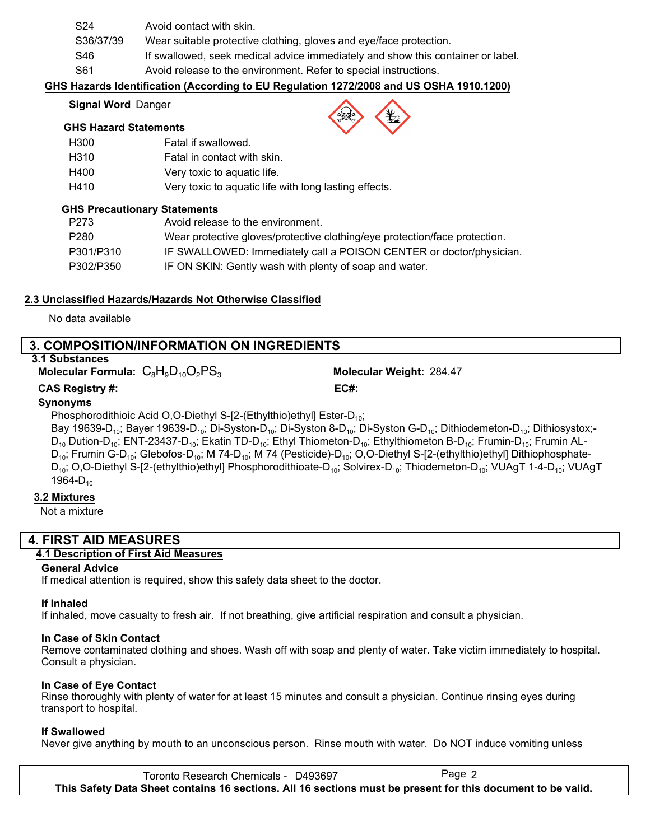| S24       | Avoid contact with skin.                                                        |
|-----------|---------------------------------------------------------------------------------|
| S36/37/39 | Wear suitable protective clothing, gloves and eye/face protection.              |
| S46       | If swallowed, seek medical advice immediately and show this container or label. |
| S61       | Avoid release to the environment. Refer to special instructions.                |

### **GHS Hazards Identification (According to EU Regulation 1272/2008 and US OSHA 1910.1200)**

#### **Signal Word** Danger

### **GHS Hazard Statements**

| H300 | Fatal if swallowed.                                   |
|------|-------------------------------------------------------|
| H310 | Fatal in contact with skin.                           |
| H400 | Very toxic to aquatic life.                           |
| H410 | Very toxic to aquatic life with long lasting effects. |

### **GHS Precautionary Statements**

| P273             | Avoid release to the environment.                                          |
|------------------|----------------------------------------------------------------------------|
| P <sub>280</sub> | Wear protective gloves/protective clothing/eye protection/face protection. |
| P301/P310        | IF SWALLOWED: Immediately call a POISON CENTER or doctor/physician.        |
| P302/P350        | IF ON SKIN: Gently wash with plenty of soap and water.                     |

### **2.3 Unclassified Hazards/Hazards Not Otherwise Classified**

No data available

### **3. COMPOSITION/INFORMATION ON INGREDIENTS**

### **3.1 Substances**

**Molecular Formula:**  $C_8H_9D_{10}O_2PS_3$  **Molecular Weight:** 284.47

**CAS Registry #: EC#:**

## **Synonyms**

Phosphorodithioic Acid O,O-Diethyl S-[2-(Ethylthio)ethyl] Ester-D<sub>10</sub>;

Bay 19639-D<sub>10</sub>; Bayer 19639-D<sub>10</sub>; Di-Syston-D<sub>10</sub>; Di-Syston 8-D<sub>10</sub>; Di-Syston G-D<sub>10</sub>; Dithiodemeton-D<sub>10</sub>; Dithiosystox;- $D_{10}$  Dution-D<sub>10</sub>; ENT-23437-D<sub>10</sub>; Ekatin TD-D<sub>10</sub>; Ethyl Thiometon-D<sub>10</sub>; Ethylthiometon B-D<sub>10</sub>; Frumin-D<sub>10</sub>; Frumin AL- $D_{10}$ ; Frumin G-D<sub>10</sub>; Glebofos-D<sub>10</sub>; M 74-D<sub>10</sub>; M 74 (Pesticide)-D<sub>10</sub>; O,O-Diethyl S-[2-(ethylthio)ethyl] Dithiophosphate- $D_{10}$ ; O,O-Diethyl S-[2-(ethylthio)ethyl] Phosphorodithioate-D<sub>10</sub>; Solvirex-D<sub>10</sub>; Thiodemeton-D<sub>10</sub>; VUAgT 1-4-D<sub>10</sub>; VUAgT 1964- $D_{10}$ 

### **3.2 Mixtures**

Not a mixture

### **4. FIRST AID MEASURES**

### **4.1 Description of First Aid Measures**

### **General Advice**

If medical attention is required, show this safety data sheet to the doctor.

### **If Inhaled**

If inhaled, move casualty to fresh air. If not breathing, give artificial respiration and consult a physician.

### **In Case of Skin Contact**

Remove contaminated clothing and shoes. Wash off with soap and plenty of water. Take victim immediately to hospital. Consult a physician.

### **In Case of Eye Contact**

Rinse thoroughly with plenty of water for at least 15 minutes and consult a physician. Continue rinsing eyes during transport to hospital.

### **If Swallowed**

Never give anything by mouth to an unconscious person. Rinse mouth with water. Do NOT induce vomiting unless

Toronto Research Chemicals - D493697 Page 2 **This Safety Data Sheet contains 16 sections. All 16 sections must be present for this document to be valid.**

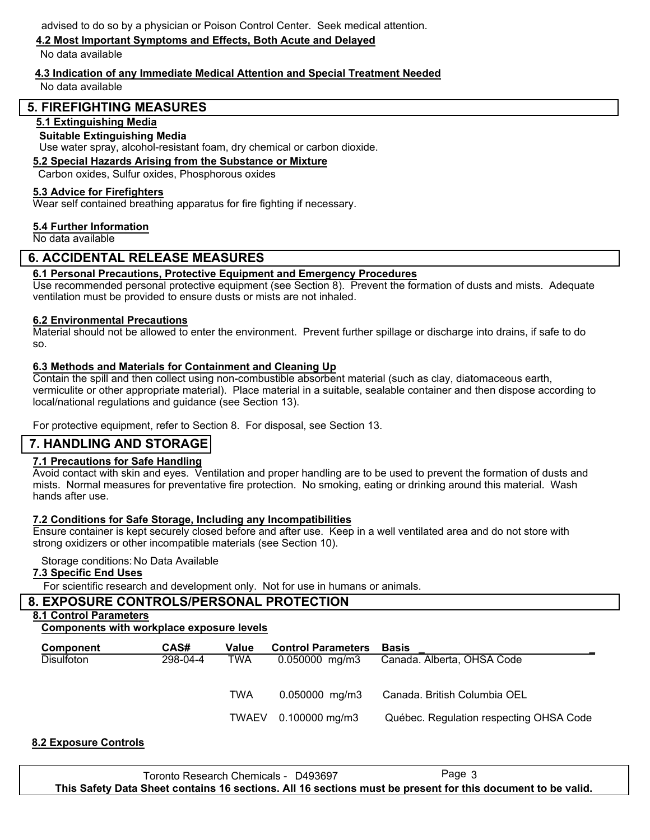advised to do so by a physician or Poison Control Center. Seek medical attention.

### **4.2 Most Important Symptoms and Effects, Both Acute and Delayed**

No data available

### **4.3 Indication of any Immediate Medical Attention and Special Treatment Needed**

No data available

### **5. FIREFIGHTING MEASURES**

### **5.1 Extinguishing Media**

### **Suitable Extinguishing Media**

Use water spray, alcohol-resistant foam, dry chemical or carbon dioxide.

### **5.2 Special Hazards Arising from the Substance or Mixture**

Carbon oxides, Sulfur oxides, Phosphorous oxides

#### **5.3 Advice for Firefighters**

Wear self contained breathing apparatus for fire fighting if necessary.

### **5.4 Further Information**

No data available

### **6. ACCIDENTAL RELEASE MEASURES**

### **6.1 Personal Precautions, Protective Equipment and Emergency Procedures**

Use recommended personal protective equipment (see Section 8). Prevent the formation of dusts and mists. Adequate ventilation must be provided to ensure dusts or mists are not inhaled.

### **6.2 Environmental Precautions**

Material should not be allowed to enter the environment. Prevent further spillage or discharge into drains, if safe to do so.

### **6.3 Methods and Materials for Containment and Cleaning Up**

Contain the spill and then collect using non-combustible absorbent material (such as clay, diatomaceous earth, vermiculite or other appropriate material). Place material in a suitable, sealable container and then dispose according to local/national regulations and guidance (see Section 13).

For protective equipment, refer to Section 8. For disposal, see Section 13.

### **7. HANDLING AND STORAGE**

### **7.1 Precautions for Safe Handling**

Avoid contact with skin and eyes. Ventilation and proper handling are to be used to prevent the formation of dusts and mists. Normal measures for preventative fire protection. No smoking, eating or drinking around this material. Wash hands after use.

### **7.2 Conditions for Safe Storage, Including any Incompatibilities**

Ensure container is kept securely closed before and after use. Keep in a well ventilated area and do not store with strong oxidizers or other incompatible materials (see Section 10).

### Storage conditions: No Data Available

### **7.3 Specific End Uses**

For scientific research and development only. Not for use in humans or animals.

### **8. EXPOSURE CONTROLS/PERSONAL PROTECTION**

#### **8.1 Control Parameters**

### **Components with workplace exposure levels**

| <b>Component</b>  | CAS#     | Value | <b>Control Parameters</b> | <b>Basis</b>                            |
|-------------------|----------|-------|---------------------------|-----------------------------------------|
| <b>Disulfoton</b> | 298-04-4 | TWA   | $0.050000$ mg/m3          | Canada. Alberta, OHSA Code              |
|                   |          |       |                           |                                         |
|                   |          | TWA   | $0.050000$ mg/m3          | Canada. British Columbia OEL            |
|                   |          |       |                           |                                         |
|                   |          | TWAEV | $0.100000$ mg/m3          | Québec. Regulation respecting OHSA Code |
|                   |          |       |                           |                                         |

### **8.2 Exposure Controls**

Toronto Research Chemicals - D493697 **This Safety Data Sheet contains 16 sections. All 16 sections must be present for this document to be valid.**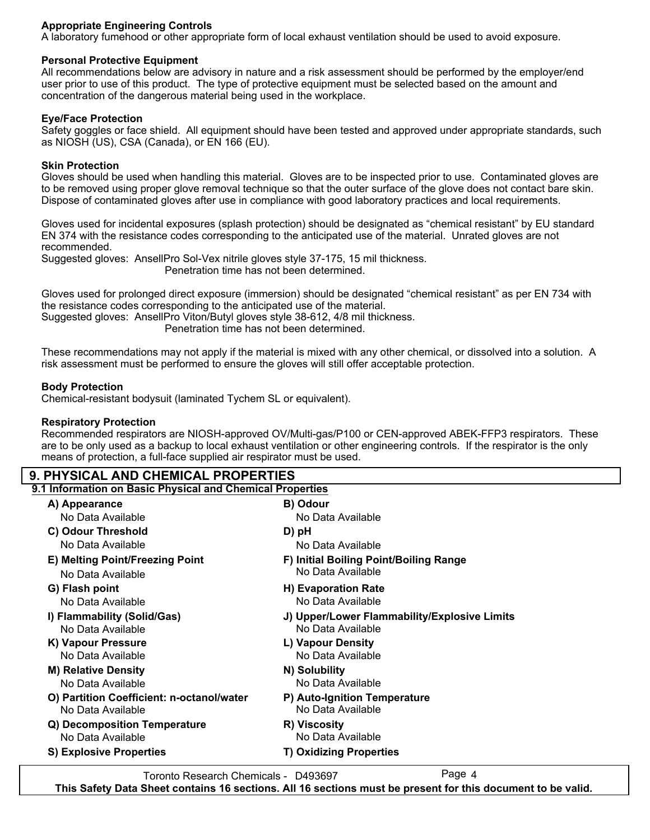### **Appropriate Engineering Controls**

A laboratory fumehood or other appropriate form of local exhaust ventilation should be used to avoid exposure.

### **Personal Protective Equipment**

All recommendations below are advisory in nature and a risk assessment should be performed by the employer/end user prior to use of this product. The type of protective equipment must be selected based on the amount and concentration of the dangerous material being used in the workplace.

### **Eye/Face Protection**

Safety goggles or face shield. All equipment should have been tested and approved under appropriate standards, such as NIOSH (US), CSA (Canada), or EN 166 (EU).

### **Skin Protection**

Gloves should be used when handling this material. Gloves are to be inspected prior to use. Contaminated gloves are to be removed using proper glove removal technique so that the outer surface of the glove does not contact bare skin. Dispose of contaminated gloves after use in compliance with good laboratory practices and local requirements.

Gloves used for incidental exposures (splash protection) should be designated as "chemical resistant" by EU standard EN 374 with the resistance codes corresponding to the anticipated use of the material. Unrated gloves are not recommended.

Suggested gloves: AnsellPro Sol-Vex nitrile gloves style 37-175, 15 mil thickness.

Penetration time has not been determined.

Gloves used for prolonged direct exposure (immersion) should be designated "chemical resistant" as per EN 734 with the resistance codes corresponding to the anticipated use of the material.

Suggested gloves: AnsellPro Viton/Butyl gloves style 38-612, 4/8 mil thickness.

Penetration time has not been determined.

These recommendations may not apply if the material is mixed with any other chemical, or dissolved into a solution. A risk assessment must be performed to ensure the gloves will still offer acceptable protection.

### **Body Protection**

Chemical-resistant bodysuit (laminated Tychem SL or equivalent).

### **Respiratory Protection**

Recommended respirators are NIOSH-approved OV/Multi-gas/P100 or CEN-approved ABEK-FFP3 respirators. These are to be only used as a backup to local exhaust ventilation or other engineering controls. If the respirator is the only means of protection, a full-face supplied air respirator must be used.

### **9. PHYSICAL AND CHEMICAL PROPERTIES**

| 9.1 Information on Basic Physical and Chemical Properties |                                              |
|-----------------------------------------------------------|----------------------------------------------|
| A) Appearance                                             | B) Odour                                     |
| No Data Available                                         | No Data Available                            |
| C) Odour Threshold                                        | D) pH                                        |
| No Data Available                                         | No Data Available                            |
| E) Melting Point/Freezing Point                           | F) Initial Boiling Point/Boiling Range       |
| No Data Available                                         | No Data Available                            |
| G) Flash point                                            | H) Evaporation Rate                          |
| No Data Available                                         | No Data Available                            |
| I) Flammability (Solid/Gas)                               | J) Upper/Lower Flammability/Explosive Limits |
| No Data Available                                         | No Data Available                            |
| K) Vapour Pressure                                        | L) Vapour Density                            |
| No Data Available                                         | No Data Available                            |
| <b>M) Relative Density</b>                                | N) Solubility                                |
| No Data Available                                         | No Data Available                            |
| O) Partition Coefficient: n-octanol/water                 | P) Auto-Ignition Temperature                 |
| No Data Available                                         | No Data Available                            |
| Q) Decomposition Temperature                              | R) Viscosity                                 |
| No Data Available                                         | No Data Available                            |
| <b>S) Explosive Properties</b>                            | <b>T) Oxidizing Properties</b>               |
|                                                           |                                              |

Toronto Research Chemicals - D493697 Page 4

**This Safety Data Sheet contains 16 sections. All 16 sections must be present for this document to be valid.**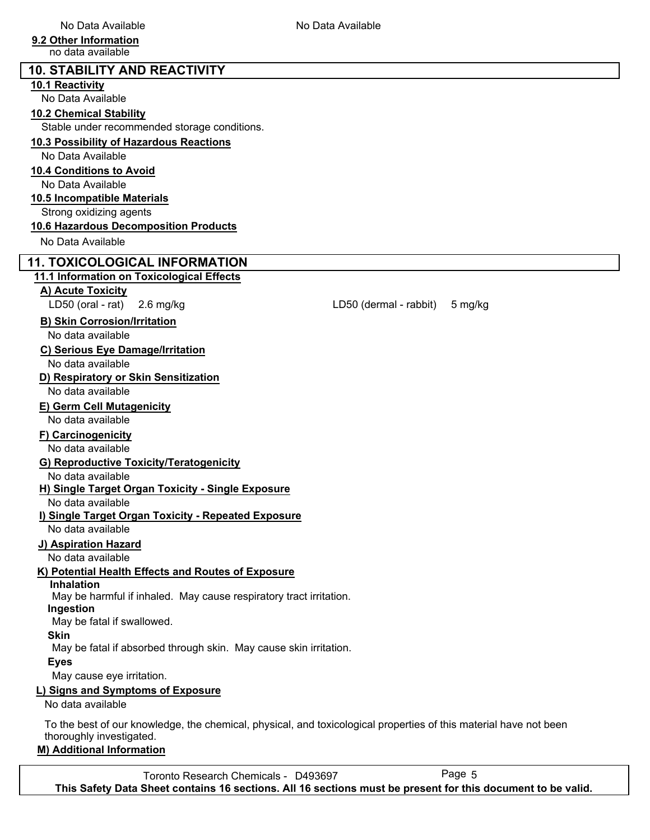### **9.2 Other Information**

no data available

| <b>10. STABILITY AND REACTIVITY</b>                                                                               |                                   |
|-------------------------------------------------------------------------------------------------------------------|-----------------------------------|
| 10.1 Reactivity                                                                                                   |                                   |
| No Data Available                                                                                                 |                                   |
| <b>10.2 Chemical Stability</b>                                                                                    |                                   |
| Stable under recommended storage conditions.                                                                      |                                   |
| 10.3 Possibility of Hazardous Reactions                                                                           |                                   |
| No Data Available                                                                                                 |                                   |
|                                                                                                                   |                                   |
| 10.4 Conditions to Avoid                                                                                          |                                   |
| No Data Available                                                                                                 |                                   |
| 10.5 Incompatible Materials                                                                                       |                                   |
| Strong oxidizing agents                                                                                           |                                   |
| 10.6 Hazardous Decomposition Products                                                                             |                                   |
| No Data Available                                                                                                 |                                   |
| <b>11. TOXICOLOGICAL INFORMATION</b>                                                                              |                                   |
| 11.1 Information on Toxicological Effects                                                                         |                                   |
| A) Acute Toxicity                                                                                                 |                                   |
| LD50 (oral - rat)<br>$2.6$ mg/kg                                                                                  | LD50 (dermal - rabbit)<br>5 mg/kg |
| <b>B) Skin Corrosion/Irritation</b>                                                                               |                                   |
| No data available                                                                                                 |                                   |
|                                                                                                                   |                                   |
| C) Serious Eye Damage/Irritation                                                                                  |                                   |
| No data available                                                                                                 |                                   |
| D) Respiratory or Skin Sensitization                                                                              |                                   |
| No data available                                                                                                 |                                   |
| <b>E) Germ Cell Mutagenicity</b>                                                                                  |                                   |
| No data available                                                                                                 |                                   |
| F) Carcinogenicity                                                                                                |                                   |
| No data available                                                                                                 |                                   |
| G) Reproductive Toxicity/Teratogenicity                                                                           |                                   |
| No data available                                                                                                 |                                   |
| H) Single Target Organ Toxicity - Single Exposure                                                                 |                                   |
| No data available                                                                                                 |                                   |
| I) Single Target Organ Toxicity - Repeated Exposure                                                               |                                   |
| No data available                                                                                                 |                                   |
| J) Aspiration Hazard                                                                                              |                                   |
| No data available                                                                                                 |                                   |
| K) Potential Health Effects and Routes of Exposure                                                                |                                   |
| <b>Inhalation</b>                                                                                                 |                                   |
| May be harmful if inhaled. May cause respiratory tract irritation.                                                |                                   |
| Ingestion                                                                                                         |                                   |
| May be fatal if swallowed.                                                                                        |                                   |
| <b>Skin</b>                                                                                                       |                                   |
| May be fatal if absorbed through skin. May cause skin irritation.                                                 |                                   |
| <b>Eyes</b>                                                                                                       |                                   |
| May cause eye irritation.                                                                                         |                                   |
| L) Signs and Symptoms of Exposure                                                                                 |                                   |
| No data available                                                                                                 |                                   |
| To the best of our knowledge, the chemical, physical, and toxicological properties of this material have not been |                                   |
| thoroughly investigated.                                                                                          |                                   |
| <b>M) Additional Information</b>                                                                                  |                                   |

Toronto Research Chemicals - D493697 Page 5 **This Safety Data Sheet contains 16 sections. All 16 sections must be present for this document to be valid.**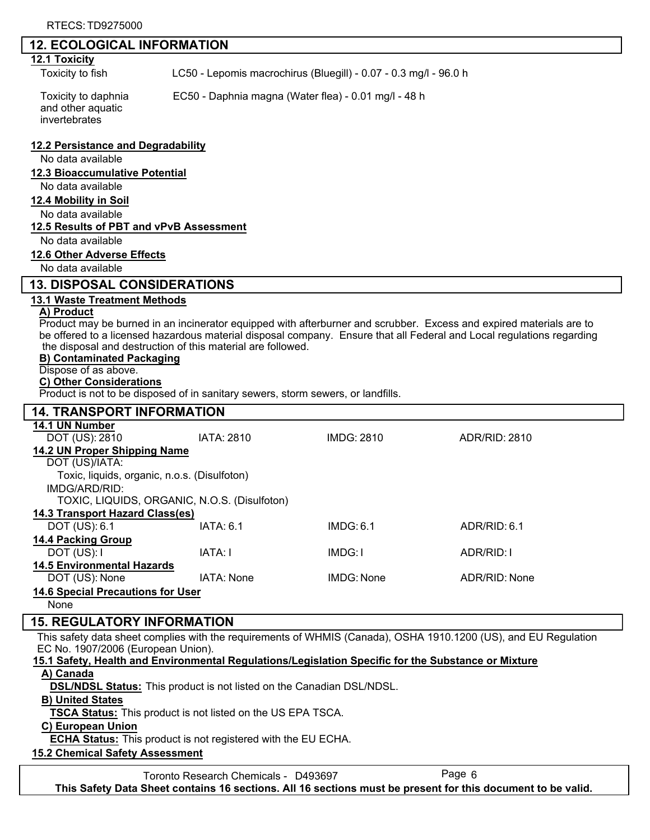### **12. ECOLOGICAL INFORMATION**

### **12.1 Toxicity**

Toxicity to fish LC50 - Lepomis macrochirus (Bluegill) - 0.07 - 0.3 mg/l - 96.0 h

and other aquatic invertebrates

Toxicity to daphnia EC50 - Daphnia magna (Water flea) - 0.01 mg/l - 48 h

**12.2 Persistance and Degradability**

No data available

#### **12.3 Bioaccumulative Potential**

No data available

#### **12.4 Mobility in Soil**

No data available

### **12.5 Results of PBT and vPvB Assessment**

No data available

#### **12.6 Other Adverse Effects**

No data available

### **13. DISPOSAL CONSIDERATIONS**

### **13.1 Waste Treatment Methods**

#### **A) Product**

Product may be burned in an incinerator equipped with afterburner and scrubber. Excess and expired materials are to be offered to a licensed hazardous material disposal company. Ensure that all Federal and Local regulations regarding the disposal and destruction of this material are followed.

#### **B) Contaminated Packaging**

#### Dispose of as above.

#### **C) Other Considerations**

Product is not to be disposed of in sanitary sewers, storm sewers, or landfills.

| <b>14. TRANSPORT INFORMATION</b>             |            |            |               |
|----------------------------------------------|------------|------------|---------------|
| 14.1 UN Number                               |            |            |               |
| DOT (US): 2810                               | IATA: 2810 | IMDG: 2810 | ADR/RID: 2810 |
| 14.2 UN Proper Shipping Name                 |            |            |               |
| DOT (US)/IATA:                               |            |            |               |
| Toxic, liquids, organic, n.o.s. (Disulfoton) |            |            |               |
| IMDG/ARD/RID:                                |            |            |               |
| TOXIC, LIQUIDS, ORGANIC, N.O.S. (Disulfoton) |            |            |               |
| 14.3 Transport Hazard Class(es)              |            |            |               |
| DOT (US): 6.1                                | IATA: 6.1  | IMDG: 6.1  | ADR/RID: 6.1  |
| <b>14.4 Packing Group</b>                    |            |            |               |
| DOT (US): I                                  | IATA: I    | IMDG: I    | ADR/RID: I    |
| <b>14.5 Environmental Hazards</b>            |            |            |               |
| DOT (US): None                               | IATA: None | IMDG: None | ADR/RID: None |
| <b>14.6 Special Precautions for User</b>     |            |            |               |
| None                                         |            |            |               |

### **15. REGULATORY INFORMATION**

This safety data sheet complies with the requirements of WHMIS (Canada), OSHA 1910.1200 (US), and EU Regulation EC No. 1907/2006 (European Union).

# **15.1 Safety, Health and Environmental Regulations/Legislation Specific for the Substance or Mixture**

### **A) Canada**

**DSL/NDSL Status:** This product is not listed on the Canadian DSL/NDSL.

### **B) United States**

**TSCA Status:** This product is not listed on the US EPA TSCA.

### **C) European Union**

**ECHA Status:** This product is not registered with the EU ECHA.

### **15.2 Chemical Safety Assessment**

Toronto Research Chemicals - D493697 Page 6 **This Safety Data Sheet contains 16 sections. All 16 sections must be present for this document to be valid.**